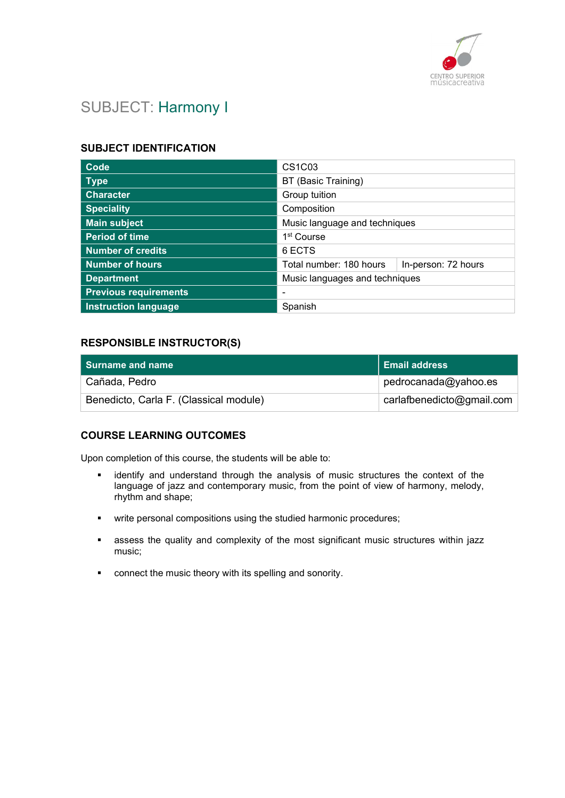

# SUBJECT: Harmony I

#### SUBJECT IDENTIFICATION

| <b>Code</b>                  | <b>CS1C03</b>                  |                     |
|------------------------------|--------------------------------|---------------------|
| <b>Type</b>                  | BT (Basic Training)            |                     |
| <b>Character</b>             | Group tuition                  |                     |
| <b>Speciality</b>            | Composition                    |                     |
| <b>Main subject</b>          | Music language and techniques  |                     |
| <b>Period of time</b>        | 1 <sup>st</sup> Course         |                     |
| <b>Number of credits</b>     | 6 ECTS                         |                     |
| <b>Number of hours</b>       | Total number: 180 hours        | In-person: 72 hours |
| <b>Department</b>            | Music languages and techniques |                     |
| <b>Previous requirements</b> |                                |                     |
| <b>Instruction language</b>  | Spanish                        |                     |

#### RESPONSIBLE INSTRUCTOR(S)

| <b>Surname and name</b>                | <b>Email address</b>      |
|----------------------------------------|---------------------------|
| Cañada, Pedro                          | pedrocanada@yahoo.es      |
| Benedicto, Carla F. (Classical module) | carlafbenedicto@gmail.com |

#### COURSE LEARNING OUTCOMES

Upon completion of this course, the students will be able to:

- **EXEDENT** identify and understand through the analysis of music structures the context of the language of jazz and contemporary music, from the point of view of harmony, melody, rhythm and shape;
- write personal compositions using the studied harmonic procedures;
- assess the quality and complexity of the most significant music structures within jazz music;
- connect the music theory with its spelling and sonority.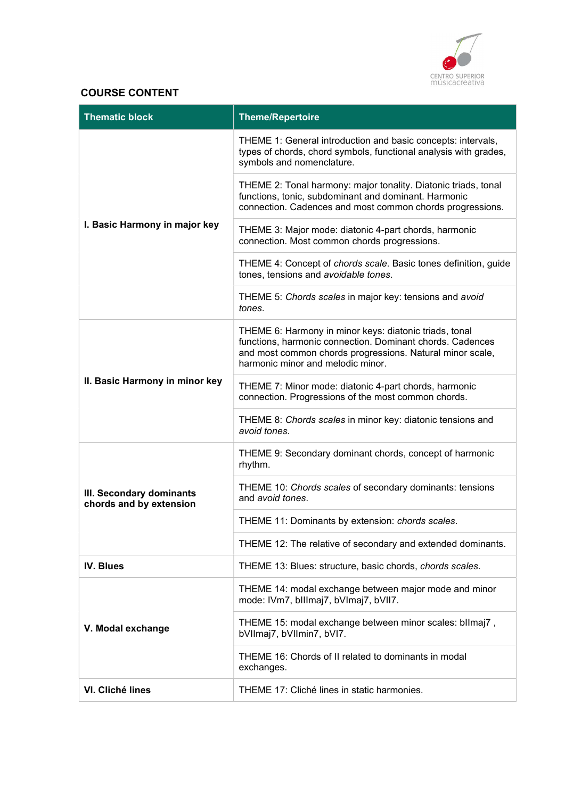

# COURSE CONTENT

| <b>Thematic block</b>                               | <b>Theme/Repertoire</b>                                                                                                                                                                                               |
|-----------------------------------------------------|-----------------------------------------------------------------------------------------------------------------------------------------------------------------------------------------------------------------------|
|                                                     | THEME 1: General introduction and basic concepts: intervals,<br>types of chords, chord symbols, functional analysis with grades,<br>symbols and nomenclature.                                                         |
| I. Basic Harmony in major key                       | THEME 2: Tonal harmony: major tonality. Diatonic triads, tonal<br>functions, tonic, subdominant and dominant. Harmonic<br>connection. Cadences and most common chords progressions.                                   |
|                                                     | THEME 3: Major mode: diatonic 4-part chords, harmonic<br>connection. Most common chords progressions.                                                                                                                 |
|                                                     | THEME 4: Concept of chords scale. Basic tones definition, guide<br>tones, tensions and avoidable tones.                                                                                                               |
|                                                     | THEME 5: Chords scales in major key: tensions and avoid<br>tones.                                                                                                                                                     |
| II. Basic Harmony in minor key                      | THEME 6: Harmony in minor keys: diatonic triads, tonal<br>functions, harmonic connection. Dominant chords. Cadences<br>and most common chords progressions. Natural minor scale,<br>harmonic minor and melodic minor. |
|                                                     | THEME 7: Minor mode: diatonic 4-part chords, harmonic<br>connection. Progressions of the most common chords.                                                                                                          |
|                                                     | THEME 8: Chords scales in minor key: diatonic tensions and<br>avoid tones.                                                                                                                                            |
| III. Secondary dominants<br>chords and by extension | THEME 9: Secondary dominant chords, concept of harmonic<br>rhythm.                                                                                                                                                    |
|                                                     | THEME 10: Chords scales of secondary dominants: tensions<br>and avoid tones.                                                                                                                                          |
|                                                     | THEME 11: Dominants by extension: chords scales.                                                                                                                                                                      |
|                                                     | THEME 12: The relative of secondary and extended dominants.                                                                                                                                                           |
| <b>IV. Blues</b>                                    | THEME 13: Blues: structure, basic chords, chords scales.                                                                                                                                                              |
| V. Modal exchange                                   | THEME 14: modal exchange between major mode and minor<br>mode: IVm7, bllImaj7, bVImaj7, bVII7.                                                                                                                        |
|                                                     | THEME 15: modal exchange between minor scales: bllmaj7,<br>bVIImaj7, bVIImin7, bVI7.                                                                                                                                  |
|                                                     | THEME 16: Chords of II related to dominants in modal<br>exchanges.                                                                                                                                                    |
| VI. Cliché lines                                    | THEME 17: Cliché lines in static harmonies.                                                                                                                                                                           |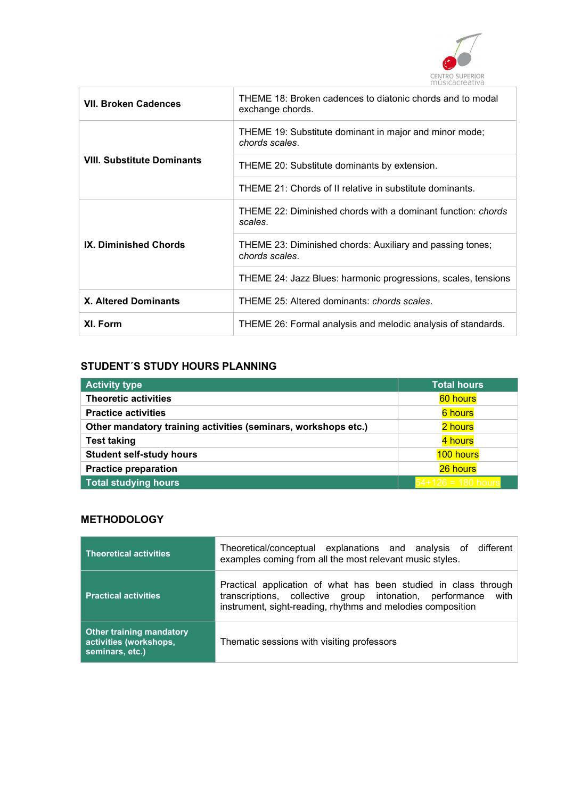

| <b>VII. Broken Cadences</b>       | THEME 18: Broken cadences to diatonic chords and to modal<br>exchange chords. |
|-----------------------------------|-------------------------------------------------------------------------------|
|                                   | THEME 19: Substitute dominant in major and minor mode;<br>chords scales.      |
| <b>VIII. Substitute Dominants</b> | THEME 20: Substitute dominants by extension.                                  |
|                                   | THEME 21: Chords of II relative in substitute dominants.                      |
|                                   | THEME 22: Diminished chords with a dominant function: chords<br>scales.       |
| <b>IX. Diminished Chords</b>      | THEME 23: Diminished chords: Auxiliary and passing tones;<br>chords scales.   |
|                                   | THEME 24: Jazz Blues: harmonic progressions, scales, tensions                 |
| <b>X. Altered Dominants</b>       | THEME 25: Altered dominants: chords scales.                                   |
| XI. Form                          | THEME 26: Formal analysis and melodic analysis of standards.                  |

#### STUDENT´S STUDY HOURS PLANNING

| <b>Activity type</b>                                           | <b>Total hours</b>   |
|----------------------------------------------------------------|----------------------|
| <b>Theoretic activities</b>                                    | 60 hours             |
| <b>Practice activities</b>                                     | 6 hours              |
| Other mandatory training activities (seminars, workshops etc.) | 2 hours              |
| <b>Test taking</b>                                             | 4 hours              |
| <b>Student self-study hours</b>                                | 100 hours            |
| <b>Practice preparation</b>                                    | 26 hours             |
| <b>Total studying hours</b>                                    | $54+126 = 180$ hours |

## **METHODOLOGY**

| <b>Theoretical activities</b>                                                | Theoretical/conceptual explanations and analysis of different<br>examples coming from all the most relevant music styles.                                                                          |
|------------------------------------------------------------------------------|----------------------------------------------------------------------------------------------------------------------------------------------------------------------------------------------------|
| <b>Practical activities</b>                                                  | Practical application of what has been studied in class through<br>transcriptions, collective group intonation, performance<br>with<br>instrument, sight-reading, rhythms and melodies composition |
| <b>Other training mandatory</b><br>activities (workshops,<br>seminars, etc.) | Thematic sessions with visiting professors                                                                                                                                                         |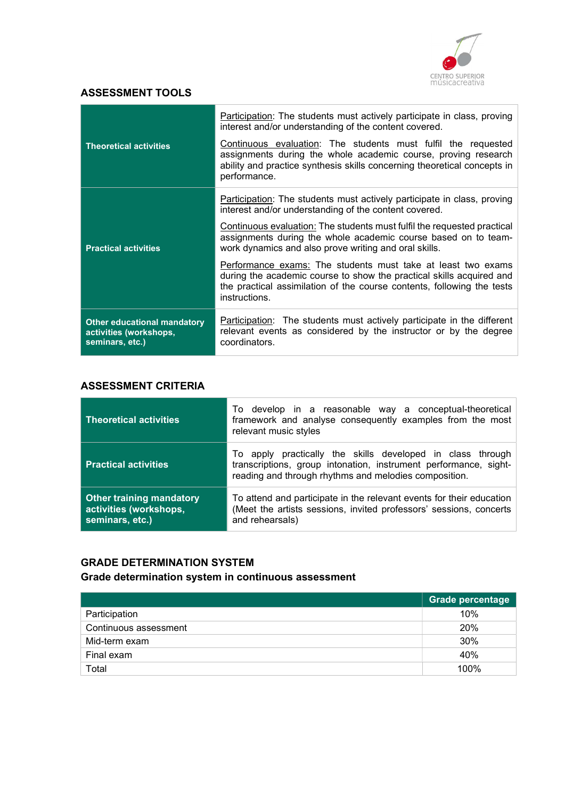

# ASSESSMENT TOOLS

|                                                                                 | Participation: The students must actively participate in class, proving<br>interest and/or understanding of the content covered.                                                                                                |
|---------------------------------------------------------------------------------|---------------------------------------------------------------------------------------------------------------------------------------------------------------------------------------------------------------------------------|
| <b>Theoretical activities</b>                                                   | Continuous evaluation: The students must fulfil the requested<br>assignments during the whole academic course, proving research<br>ability and practice synthesis skills concerning theoretical concepts in<br>performance.     |
|                                                                                 | <b>Participation:</b> The students must actively participate in class, proving<br>interest and/or understanding of the content covered.                                                                                         |
| <b>Practical activities</b>                                                     | Continuous evaluation: The students must fulfil the requested practical<br>assignments during the whole academic course based on to team-<br>work dynamics and also prove writing and oral skills.                              |
|                                                                                 | Performance exams: The students must take at least two exams<br>during the academic course to show the practical skills acquired and<br>the practical assimilation of the course contents, following the tests<br>instructions. |
| <b>Other educational mandatory</b><br>activities (workshops,<br>seminars, etc.) | Participation: The students must actively participate in the different<br>relevant events as considered by the instructor or by the degree<br>coordinators.                                                                     |

## ASSESSMENT CRITERIA

| <b>Theoretical activities</b>                                                | To develop in a reasonable way a conceptual-theoretical<br>framework and analyse consequently examples from the most<br>relevant music styles                                           |
|------------------------------------------------------------------------------|-----------------------------------------------------------------------------------------------------------------------------------------------------------------------------------------|
| <b>Practical activities</b>                                                  | To apply practically the skills developed in class through<br>transcriptions, group intonation, instrument performance, sight-<br>reading and through rhythms and melodies composition. |
| <b>Other training mandatory</b><br>activities (workshops,<br>seminars, etc.) | To attend and participate in the relevant events for their education<br>(Meet the artists sessions, invited professors' sessions, concerts<br>and rehearsals)                           |

# GRADE DETERMINATION SYSTEM Grade determination system in continuous assessment

|                       | <b>Grade percentage</b> |
|-----------------------|-------------------------|
| Participation         | 10%                     |
| Continuous assessment | 20%                     |
| Mid-term exam         | 30%                     |
| Final exam            | 40%                     |
| Total                 | 100%                    |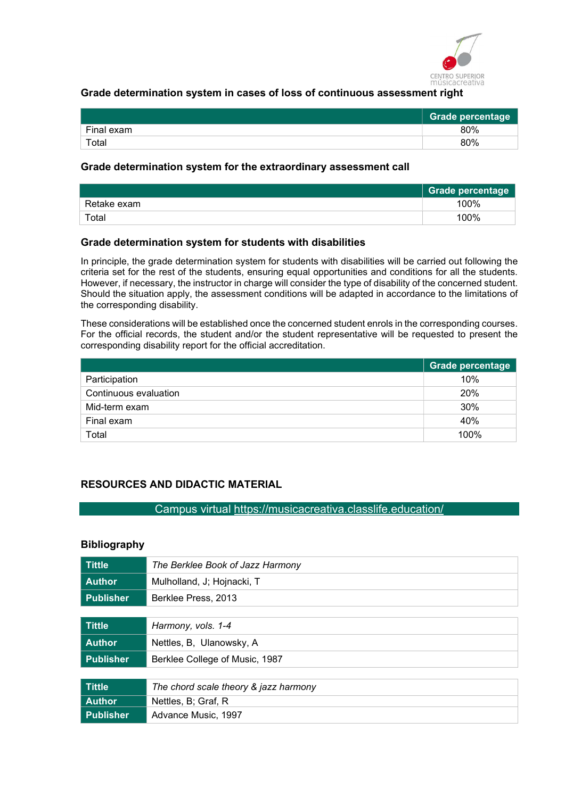

#### Grade determination system in cases of loss of continuous assessment right

|            | <b>Grade percentage</b> |
|------------|-------------------------|
| Final exam | 80%                     |
| Total      | 80%                     |

#### Grade determination system for the extraordinary assessment call

|             | Grade percentage |
|-------------|------------------|
| Retake exam | 100%             |
| Total       | 100%             |

#### Grade determination system for students with disabilities

In principle, the grade determination system for students with disabilities will be carried out following the criteria set for the rest of the students, ensuring equal opportunities and conditions for all the students. However, if necessary, the instructor in charge will consider the type of disability of the concerned student. Should the situation apply, the assessment conditions will be adapted in accordance to the limitations of the corresponding disability.

These considerations will be established once the concerned student enrols in the corresponding courses. For the official records, the student and/or the student representative will be requested to present the corresponding disability report for the official accreditation.

|                       | Grade percentage |
|-----------------------|------------------|
| Participation         | 10%              |
| Continuous evaluation | 20%              |
| Mid-term exam         | 30%              |
| Final exam            | 40%              |
| Total                 | 100%             |

## RESOURCES AND DIDACTIC MATERIAL

#### Campus virtual https://musicacreativa.classlife.education/

#### **Bibliography**

| <b>Tittle</b>    | The Berklee Book of Jazz Harmony      |
|------------------|---------------------------------------|
| <b>Author</b>    | Mulholland, J; Hojnacki, T            |
| <b>Publisher</b> | Berklee Press, 2013                   |
|                  |                                       |
| <b>Tittle</b>    | Harmony, vols. 1-4                    |
| <b>Author</b>    | Nettles, B. Ulanowsky, A.             |
| <b>Publisher</b> | Berklee College of Music, 1987        |
|                  |                                       |
| <b>Tittle</b>    | The chord scale theory & jazz harmony |
| <b>Author</b>    | Nettles, B; Graf, R                   |
| <b>Publisher</b> | Advance Music, 1997                   |